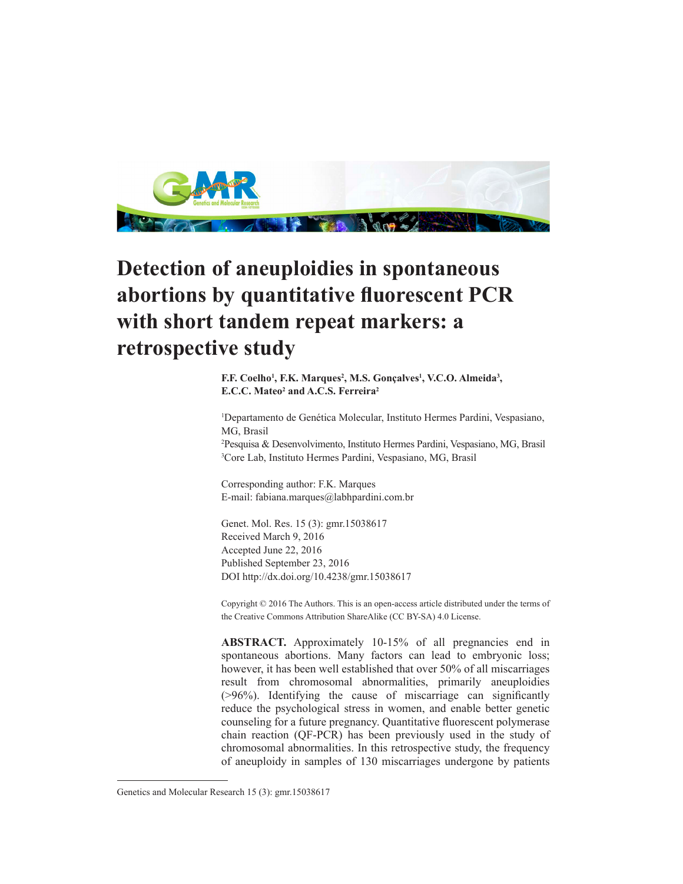

# **Detection of aneuploidies in spontaneous abortions by quantitative fluorescent PCR with short tandem repeat markers: a retrospective study**

**F.F. Coelho<sup>1</sup>, F.K. Marques<sup>2</sup>, M.S. Gonçalves<sup>1</sup>, V.C.O. Almeida<sup>3</sup>, E.C.C. Mateo<sup>2</sup> and A.C.S. Ferreira<sup>2</sup>**

 Departamento de Genética Molecular, Instituto Hermes Pardini, Vespasiano, MG, Brasil Pesquisa & Desenvolvimento, Instituto Hermes Pardini, Vespasiano, MG, Brasil Core Lab, Instituto Hermes Pardini, Vespasiano, MG, Brasil

Corresponding author: F.K. Marques E-mail: fabiana.marques@labhpardini.com.br

Genet. Mol. Res. 15 (3): gmr.15038617 Received March 9, 2016 Accepted June 22, 2016 Published September 23, 2016 DOI http://dx.doi.org/10.4238/gmr.15038617

Copyright © 2016 The Authors. This is an open-access article distributed under the terms of the Creative Commons Attribution ShareAlike (CC BY-SA) 4.0 License.

ABSTRACT. Approximately 10-15% of all pregnancies end in spontaneous abortions. Many factors can lead to embryonic loss; however, it has been well established that over 50% of all miscarriages result from chromosomal abnormalities, primarily aneuploidies (>96%). Identifying the cause of miscarriage can significantly reduce the psychological stress in women, and enable better genetic counseling for a future pregnancy. Quantitative fluorescent polymerase chain reaction (QF-PCR) has been previously used in the study of chromosomal abnormalities. In this retrospective study, the frequency of aneuploidy in samples of 130 miscarriages undergone by patients

Genetics and Molecular Research 15 (3): gmr.15038617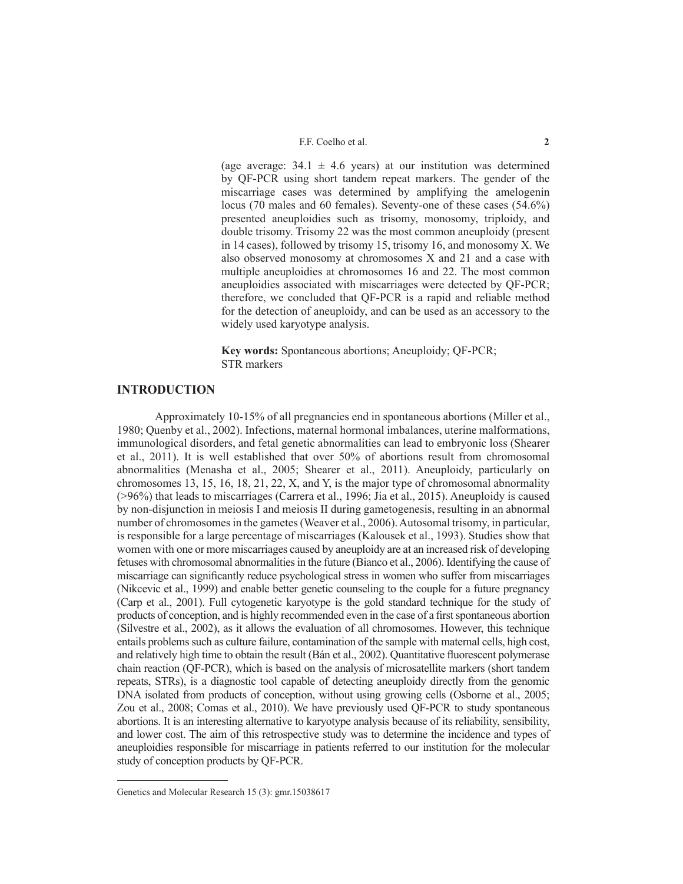(age average:  $34.1 \pm 4.6$  years) at our institution was determined by QF-PCR using short tandem repeat markers. The gender of the miscarriage cases was determined by amplifying the amelogenin locus (70 males and 60 females). Seventy-one of these cases (54.6%) presented aneuploidies such as trisomy, monosomy, triploidy, and double trisomy. Trisomy 22 was the most common aneuploidy (present in 14 cases), followed by trisomy 15, trisomy 16, and monosomy X. We also observed monosomy at chromosomes X and 21 and a case with multiple aneuploidies at chromosomes 16 and 22. The most common aneuploidies associated with miscarriages were detected by QF-PCR; therefore, we concluded that QF-PCR is a rapid and reliable method for the detection of aneuploidy, and can be used as an accessory to the widely used karyotype analysis.

**Key words:** Spontaneous abortions; Aneuploidy; QF-PCR; STR markers

### **INTRODUCTION**

Approximately 10-15% of all pregnancies end in spontaneous abortions (Miller et al., 1980; Quenby et al., 2002). Infections, maternal hormonal imbalances, uterine malformations, immunological disorders, and fetal genetic abnormalities can lead to embryonic loss (Shearer et al., 2011). It is well established that over 50% of abortions result from chromosomal abnormalities (Menasha et al., 2005; Shearer et al., 2011). Aneuploidy, particularly on chromosomes 13, 15, 16, 18, 21, 22, X, and Y, is the major type of chromosomal abnormality (>96%) that leads to miscarriages (Carrera et al., 1996; Jia et al., 2015). Aneuploidy is caused by non-disjunction in meiosis I and meiosis II during gametogenesis, resulting in an abnormal number of chromosomes in the gametes (Weaver et al., 2006). Autosomal trisomy, in particular, is responsible for a large percentage of miscarriages (Kalousek et al., 1993). Studies show that women with one or more miscarriages caused by aneuploidy are at an increased risk of developing fetuses with chromosomal abnormalities in the future (Bianco et al., 2006). Identifying the cause of miscarriage can significantly reduce psychological stress in women who suffer from miscarriages (Nikcevic et al., 1999) and enable better genetic counseling to the couple for a future pregnancy (Carp et al., 2001). Full cytogenetic karyotype is the gold standard technique for the study of products of conception, and is highly recommended even in the case of a first spontaneous abortion (Silvestre et al., 2002), as it allows the evaluation of all chromosomes. However, this technique entails problems such as culture failure, contamination of the sample with maternal cells, high cost, and relatively high time to obtain the result (Bán et al., 2002). Quantitative fluorescent polymerase chain reaction (QF-PCR), which is based on the analysis of microsatellite markers (short tandem repeats, STRs), is a diagnostic tool capable of detecting aneuploidy directly from the genomic DNA isolated from products of conception, without using growing cells (Osborne et al., 2005; Zou et al., 2008; Comas et al., 2010). We have previously used QF-PCR to study spontaneous abortions. It is an interesting alternative to karyotype analysis because of its reliability, sensibility, and lower cost. The aim of this retrospective study was to determine the incidence and types of aneuploidies responsible for miscarriage in patients referred to our institution for the molecular study of conception products by QF-PCR.

Genetics and Molecular Research 15 (3): gmr.15038617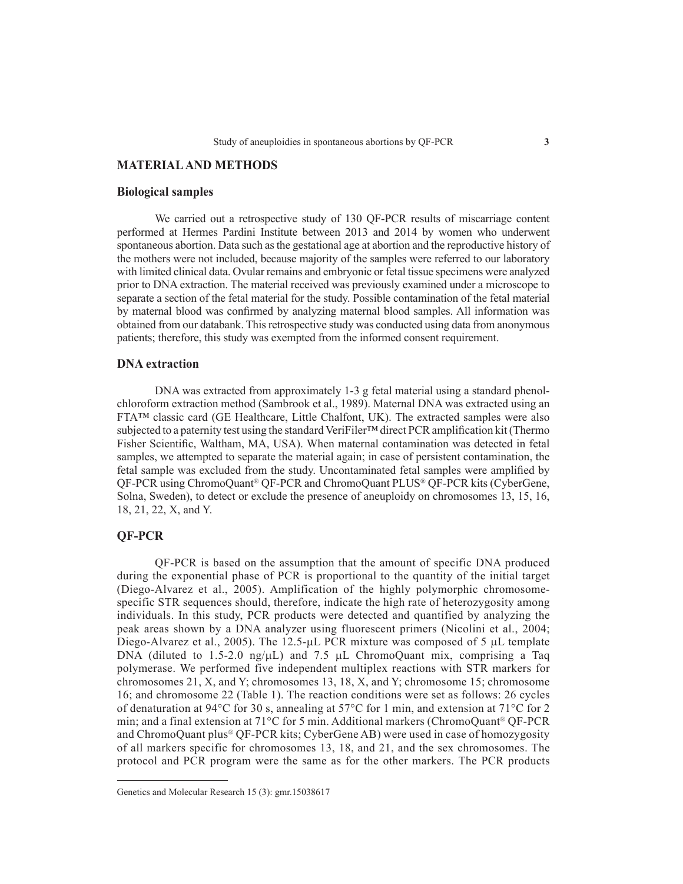# **MATERIAL AND METHODS**

#### **Biological samples**

We carried out a retrospective study of 130 QF-PCR results of miscarriage content performed at Hermes Pardini Institute between 2013 and 2014 by women who underwent spontaneous abortion. Data such as the gestational age at abortion and the reproductive history of the mothers were not included, because majority of the samples were referred to our laboratory with limited clinical data. Ovular remains and embryonic or fetal tissue specimens were analyzed prior to DNA extraction. The material received was previously examined under a microscope to separate a section of the fetal material for the study. Possible contamination of the fetal material by maternal blood was confirmed by analyzing maternal blood samples. All information was obtained from our databank. This retrospective study was conducted using data from anonymous patients; therefore, this study was exempted from the informed consent requirement.

#### **DNA extraction**

DNA was extracted from approximately 1-3 g fetal material using a standard phenolchloroform extraction method (Sambrook et al., 1989). Maternal DNA was extracted using an FTA™ classic card (GE Healthcare, Little Chalfont, UK). The extracted samples were also subjected to a paternity test using the standard VeriFiler™ direct PCR amplification kit (Thermo Fisher Scientific, Waltham, MA, USA). When maternal contamination was detected in fetal samples, we attempted to separate the material again; in case of persistent contamination, the fetal sample was excluded from the study. Uncontaminated fetal samples were amplified by QF-PCR using ChromoQuant® QF-PCR and ChromoQuant PLUS® QF-PCR kits (CyberGene, Solna, Sweden), to detect or exclude the presence of aneuploidy on chromosomes 13, 15, 16, 18, 21, 22, X, and Y.

# **QF-PCR**

QF-PCR is based on the assumption that the amount of specific DNA produced during the exponential phase of PCR is proportional to the quantity of the initial target (Diego-Alvarez et al., 2005). Amplification of the highly polymorphic chromosomespecific STR sequences should, therefore, indicate the high rate of heterozygosity among individuals. In this study, PCR products were detected and quantified by analyzing the peak areas shown by a DNA analyzer using fluorescent primers (Nicolini et al., 2004; Diego-Alvarez et al., 2005). The 12.5-µL PCR mixture was composed of 5 µL template DNA (diluted to 1.5-2.0 ng/ $\mu$ L) and 7.5  $\mu$ L ChromoQuant mix, comprising a Taq polymerase. We performed five independent multiplex reactions with STR markers for chromosomes 21, X, and Y; chromosomes 13, 18, X, and Y; chromosome 15; chromosome 16; and chromosome 22 (Table 1). The reaction conditions were set as follows: 26 cycles of denaturation at 94°C for 30 s, annealing at 57°C for 1 min, and extension at 71°C for 2 min; and a final extension at 71°C for 5 min. Additional markers (ChromoQuant® QF-PCR and ChromoQuant plus® QF-PCR kits; CyberGene AB) were used in case of homozygosity of all markers specific for chromosomes 13, 18, and 21, and the sex chromosomes. The protocol and PCR program were the same as for the other markers. The PCR products

Genetics and Molecular Research 15 (3): gmr.15038617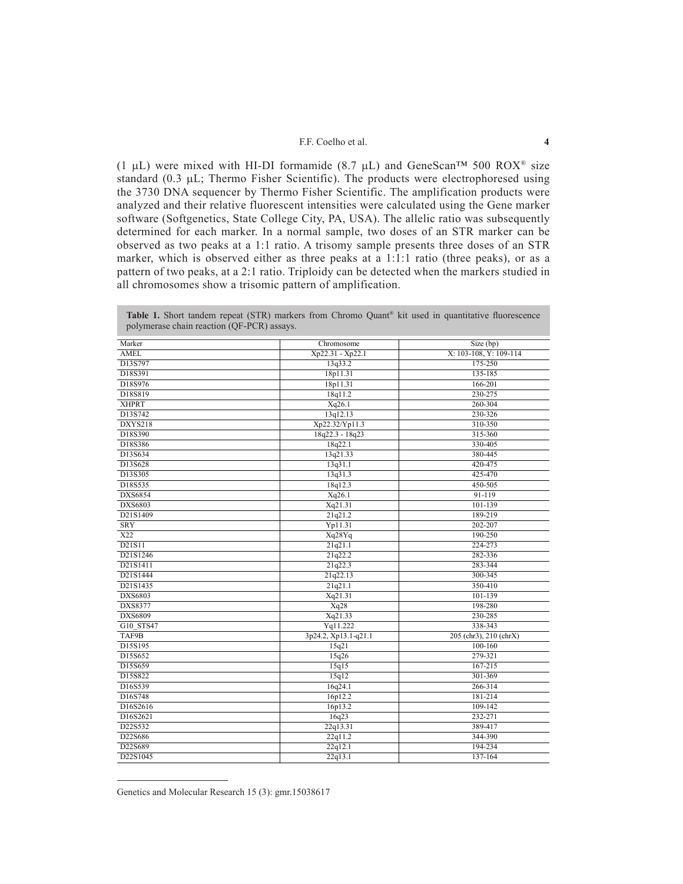#### F.F. Coelho et al. **4**

(1  $\mu$ L) were mixed with HI-DI formamide (8.7  $\mu$ L) and GeneScan<sup>TM</sup> 500 ROX<sup>®</sup> size standard (0.3 µL; Thermo Fisher Scientific). The products were electrophoresed using the 3730 DNA sequencer by Thermo Fisher Scientific. The amplification products were analyzed and their relative fluorescent intensities were calculated using the Gene marker software (Softgenetics, State College City, PA, USA). The allelic ratio was subsequently determined for each marker. In a normal sample, two doses of an STR marker can be observed as two peaks at a 1:1 ratio. A trisomy sample presents three doses of an STR marker, which is observed either as three peaks at a 1:1:1 ratio (three peaks), or as a pattern of two peaks, at a 2:1 ratio. Triploidy can be detected when the markers studied in all chromosomes show a trisomic pattern of amplification.

| Marker         | Chromosome           | Size(bp)               |
|----------------|----------------------|------------------------|
| <b>AMEL</b>    | Xp22.31 - Xp22.1     | X: 103-108, Y: 109-114 |
| D13S797        | 13q33.2              | 175-250                |
| D18S391        | 18p11.31             | 135-185                |
| D18S976        | 18p11.31             | 166-201                |
| D18S819        | 18q11.2              | 230-275                |
| <b>XHPRT</b>   | Xq26.1               | 260-304                |
| D13S742        | 13q12.13             | 230-326                |
| DXYS218        | Xp22.32/Yp11.3       | 310-350                |
| D18S390        | $18q22.3 - 18q23$    | 315-360                |
| D18S386        | 18q22.1              | 330-405                |
| D13S634        | 13q21.33             | 380-445                |
| D13S628        | 13q31.1              | 420-475                |
| D13S305        | 13q31.3              | 425-470                |
| D18S535        | 18q12.3              | 450-505                |
| <b>DXS6854</b> | Xq26.1               | $91 - 119$             |
| DXS6803        | Xq21.31              | 101-139                |
| D21S1409       | 21q21.2              | 189-219                |
| <b>SRY</b>     | Yp11.31              | 202-207                |
| X22            | Xq28Yq               | 190-250                |
| D21S11         | 21q21.1              | 224-273                |
| D21S1246       | 21q22.2              | 282-336                |
| D21S1411       | 21q22.3              | 283-344                |
| D21S1444       | 21q22.13             | 300-345                |
| D21S1435       | 21q21.1              | 350-410                |
| <b>DXS6803</b> | Xq21.31              | 101-139                |
| DXS8377        | Xq28                 | 198-280                |
| DXS6809        | Xq21.33              | 230-285                |
| G10 STS47      | Yq11.222             | 338-343                |
| TAF9B          | 3p24.2, Xp13.1-q21.1 | 205 (chr3), 210 (chrX) |
| D15S195        | 15q21                | 100-160                |
| D15S652        | 15q26                | 279-321                |
| D15S659        | 15q15                | 167-215                |
| D15S822        | 15q12                | 301-369                |
| D16S539        | 16q24.1              | 266-314                |
| D16S748        | 16p12.2              | 181-214                |
| D16S2616       | 16p13.2              | 109-142                |
| D16S2621       | 16q23                | 232-271                |
| D22S532        | 22q13.31             | 389-417                |
| D22S686        | 22q11.2              | 344-390                |
| D22S689        | 22q12.1              | 194-234                |
| D22S1045       | 22q13.1              | 137-164                |

Table 1. Short tandem repeat (STR) markers from Chromo Quant<sup>®</sup> kit used in quantitative fluorescence polymerase chain reaction (QF-PCR) assays.

Genetics and Molecular Research 15 (3): gmr.15038617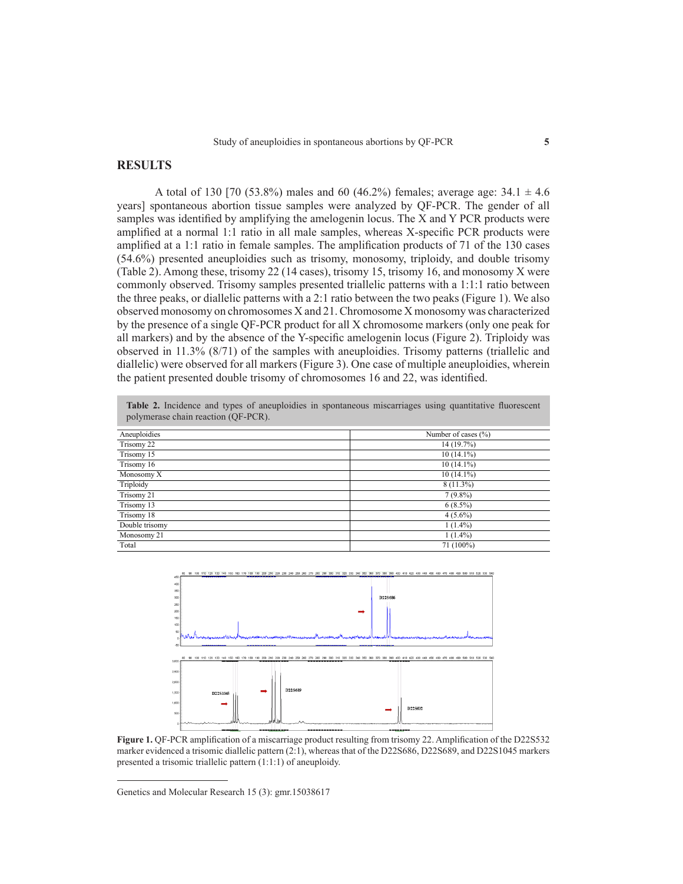# **RESULTS**

A total of 130 [70 (53.8%) males and 60 (46.2%) females; average age:  $34.1 \pm 4.6$ years] spontaneous abortion tissue samples were analyzed by QF-PCR. The gender of all samples was identified by amplifying the amelogenin locus. The X and Y PCR products were amplified at a normal 1:1 ratio in all male samples, whereas X-specific PCR products were amplified at a 1:1 ratio in female samples. The amplification products of 71 of the 130 cases (54.6%) presented aneuploidies such as trisomy, monosomy, triploidy, and double trisomy (Table 2). Among these, trisomy 22 (14 cases), trisomy 15, trisomy 16, and monosomy X were commonly observed. Trisomy samples presented triallelic patterns with a 1:1:1 ratio between the three peaks, or diallelic patterns with a 2:1 ratio between the two peaks (Figure 1). We also observed monosomy on chromosomes X and 21. Chromosome X monosomy was characterized by the presence of a single QF-PCR product for all X chromosome markers (only one peak for all markers) and by the absence of the Y-specific amelogenin locus (Figure 2). Triploidy was observed in 11.3% (8/71) of the samples with aneuploidies. Trisomy patterns (triallelic and diallelic) were observed for all markers (Figure 3). One case of multiple aneuploidies, wherein the patient presented double trisomy of chromosomes 16 and 22, was identified.

| polymerase chain reaction (OF-PCR). |                         |  |
|-------------------------------------|-------------------------|--|
| Aneuploidies                        | Number of cases $(\% )$ |  |
| Trisomy 22                          | 14 (19.7%)              |  |
| Trisomy 15                          | $10(14.1\%)$            |  |
| Trisomy 16                          | $10(14.1\%)$            |  |
| Monosomy X                          | $10(14.1\%)$            |  |
| Triploidy                           | $8(11.3\%)$             |  |
| Trisomy 21                          | $7(9.8\%)$              |  |
| Trisomy 13                          | $6(8.5\%)$              |  |
| Trisomy 18                          | $4(5.6\%)$              |  |
| Double trisomy                      | $1(1.4\%)$              |  |
| Monosomy 21                         | $1(1.4\%)$              |  |
| Total                               | 71 (100%)               |  |

Table 2. Incidence and types of aneuploidies in spontaneous miscarriages using quantitative fluorescent



**Figure 1.** QF-PCR amplification of a miscarriage product resulting from trisomy 22. Amplification of the D22S532 marker evidenced a trisomic diallelic pattern (2:1), whereas that of the D22S686, D22S689, and D22S1045 markers presented a trisomic triallelic pattern (1:1:1) of aneuploidy.

Genetics and Molecular Research 15 (3): gmr.15038617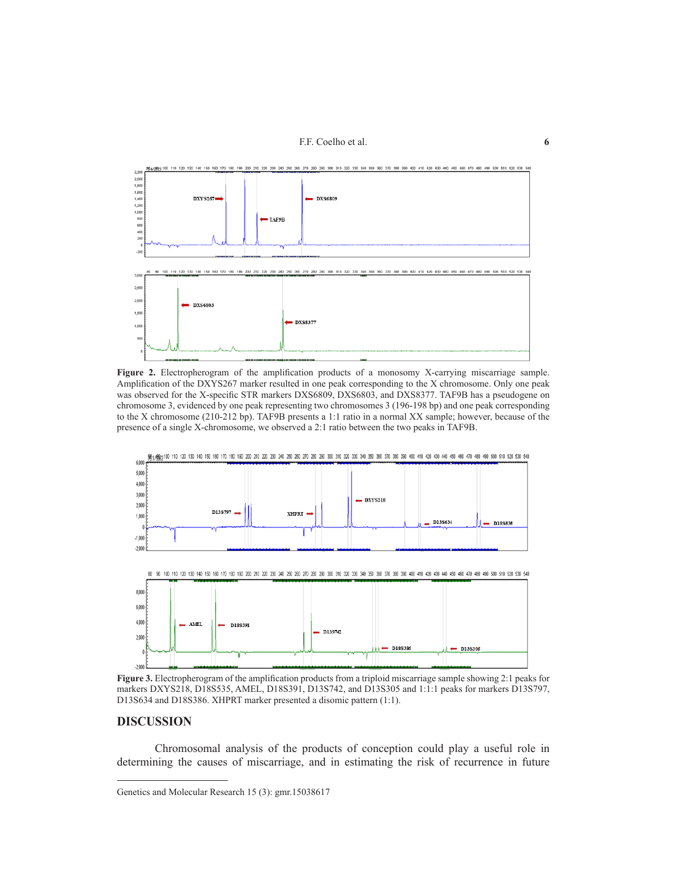F.F. Coelho et al. **6**



**Figure 2.** Electropherogram of the amplification products of a monosomy X-carrying miscarriage sample. Amplification of the DXYS267 marker resulted in one peak corresponding to the X chromosome. Only one peak was observed for the X-specific STR markers DXS6809, DXS6803, and DXS8377. TAF9B has a pseudogene on chromosome 3, evidenced by one peak representing two chromosomes 3 (196-198 bp) and one peak corresponding to the X chromosome (210-212 bp). TAF9B presents a 1:1 ratio in a normal XX sample; however, because of the presence of a single X-chromosome, we observed a 2:1 ratio between the two peaks in TAF9B.



**Figure 3.** Electropherogram of the amplification products from a triploid miscarriage sample showing 2:1 peaks for markers DXYS218, D18S535, AMEL, D18S391, D13S742, and D13S305 and 1:1:1 peaks for markers D13S797, D13S634 and D18S386. XHPRT marker presented a disomic pattern (1:1).

#### **DISCUSSION**

Chromosomal analysis of the products of conception could play a useful role in determining the causes of miscarriage, and in estimating the risk of recurrence in future

Genetics and Molecular Research 15 (3): gmr.15038617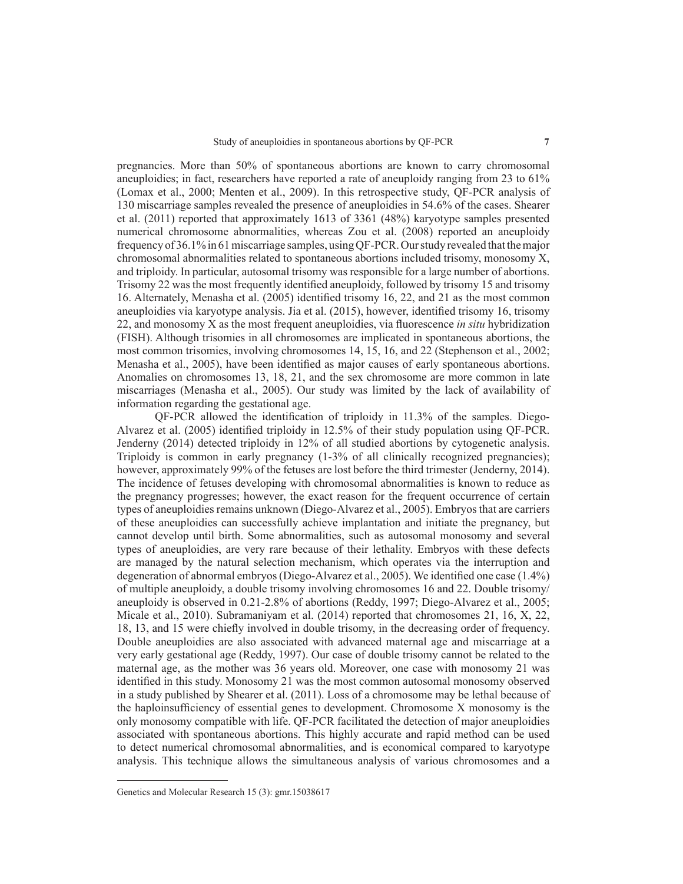pregnancies. More than 50% of spontaneous abortions are known to carry chromosomal aneuploidies; in fact, researchers have reported a rate of aneuploidy ranging from 23 to 61% (Lomax et al., 2000; Menten et al., 2009). In this retrospective study, QF-PCR analysis of 130 miscarriage samples revealed the presence of aneuploidies in 54.6% of the cases. Shearer et al. (2011) reported that approximately 1613 of 3361 (48%) karyotype samples presented numerical chromosome abnormalities, whereas Zou et al. (2008) reported an aneuploidy frequency of 36.1% in 61 miscarriage samples, using QF-PCR. Our study revealed that the major chromosomal abnormalities related to spontaneous abortions included trisomy, monosomy X, and triploidy. In particular, autosomal trisomy was responsible for a large number of abortions. Trisomy 22 was the most frequently identified aneuploidy, followed by trisomy 15 and trisomy 16. Alternately, Menasha et al. (2005) identified trisomy 16, 22, and 21 as the most common aneuploidies via karyotype analysis. Jia et al. (2015), however, identified trisomy 16, trisomy 22, and monosomy X as the most frequent aneuploidies, via fluorescence *in situ* hybridization (FISH). Although trisomies in all chromosomes are implicated in spontaneous abortions, the most common trisomies, involving chromosomes 14, 15, 16, and 22 (Stephenson et al., 2002; Menasha et al., 2005), have been identified as major causes of early spontaneous abortions. Anomalies on chromosomes 13, 18, 21, and the sex chromosome are more common in late miscarriages (Menasha et al., 2005). Our study was limited by the lack of availability of information regarding the gestational age.

QF-PCR allowed the identification of triploidy in 11.3% of the samples. Diego-Alvarez et al. (2005) identified triploidy in 12.5% of their study population using QF-PCR. Jenderny (2014) detected triploidy in 12% of all studied abortions by cytogenetic analysis. Triploidy is common in early pregnancy (1-3% of all clinically recognized pregnancies); however, approximately 99% of the fetuses are lost before the third trimester (Jenderny, 2014). The incidence of fetuses developing with chromosomal abnormalities is known to reduce as the pregnancy progresses; however, the exact reason for the frequent occurrence of certain types of aneuploidies remains unknown (Diego-Alvarez et al., 2005). Embryos that are carriers of these aneuploidies can successfully achieve implantation and initiate the pregnancy, but cannot develop until birth. Some abnormalities, such as autosomal monosomy and several types of aneuploidies, are very rare because of their lethality. Embryos with these defects are managed by the natural selection mechanism, which operates via the interruption and degeneration of abnormal embryos (Diego-Alvarez et al., 2005). We identified one case (1.4%) of multiple aneuploidy, a double trisomy involving chromosomes 16 and 22. Double trisomy/ aneuploidy is observed in 0.21-2.8% of abortions (Reddy, 1997; Diego-Alvarez et al., 2005; Micale et al., 2010). Subramaniyam et al. (2014) reported that chromosomes 21, 16, X, 22, 18, 13, and 15 were chiefly involved in double trisomy, in the decreasing order of frequency. Double aneuploidies are also associated with advanced maternal age and miscarriage at a very early gestational age (Reddy, 1997). Our case of double trisomy cannot be related to the maternal age, as the mother was 36 years old. Moreover, one case with monosomy 21 was identified in this study. Monosomy 21 was the most common autosomal monosomy observed in a study published by Shearer et al. (2011). Loss of a chromosome may be lethal because of the haploinsufficiency of essential genes to development. Chromosome X monosomy is the only monosomy compatible with life. QF-PCR facilitated the detection of major aneuploidies associated with spontaneous abortions. This highly accurate and rapid method can be used to detect numerical chromosomal abnormalities, and is economical compared to karyotype analysis. This technique allows the simultaneous analysis of various chromosomes and a

Genetics and Molecular Research 15 (3): gmr.15038617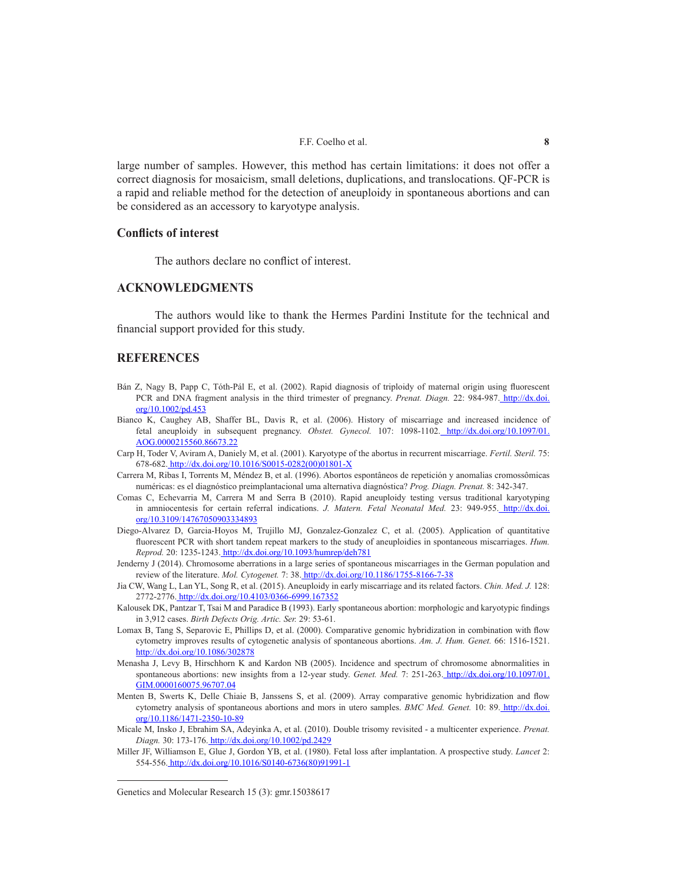large number of samples. However, this method has certain limitations: it does not offer a correct diagnosis for mosaicism, small deletions, duplications, and translocations. QF-PCR is a rapid and reliable method for the detection of aneuploidy in spontaneous abortions and can be considered as an accessory to karyotype analysis.

## **Conflicts of interest**

The authors declare no conflict of interest.

# **ACKNOWLEDGMENTS**

The authors would like to thank the Hermes Pardini Institute for the technical and financial support provided for this study.

# **REFERENCES**

- Bán Z, Nagy B, Papp C, Tóth-Pál E, et al. (2002). Rapid diagnosis of triploidy of maternal origin using fluorescent PCR and DNA fragment analysis in the third trimester of pregnancy. *Prenat. Diagn.* 22: 984-987. http://dx.doi. org/10.1002/pd.453
- Bianco K, Caughey AB, Shaffer BL, Davis R, et al. (2006). History of miscarriage and increased incidence of fetal aneuploidy in subsequent pregnancy. *Obstet. Gynecol.* 107: 1098-1102. http://dx.doi.org/10.1097/01. AOG.0000215560.86673.22
- Carp H, Toder V, Aviram A, Daniely M, et al. (2001). Karyotype of the abortus in recurrent miscarriage. *Fertil. Steril.* 75: 678-682. http://dx.doi.org/10.1016/S0015-0282(00)01801-X
- Carrera M, Ribas I, Torrents M, Méndez B, et al. (1996). Abortos espontâneos de repetición y anomalias cromossômicas numéricas: es el diagnóstico preimplantacional uma alternativa diagnóstica? *Prog. Diagn. Prenat.* 8: 342-347.
- Comas C, Echevarria M, Carrera M and Serra B (2010). Rapid aneuploidy testing versus traditional karyotyping in amniocentesis for certain referral indications. *J. Matern. Fetal Neonatal Med.* 23: 949-955. http://dx.doi. org/10.3109/14767050903334893
- Diego-Alvarez D, Garcia-Hoyos M, Trujillo MJ, Gonzalez-Gonzalez C, et al. (2005). Application of quantitative fluorescent PCR with short tandem repeat markers to the study of aneuploidies in spontaneous miscarriages. *Hum. Reprod.* 20: 1235-1243. http://dx.doi.org/10.1093/humrep/deh781
- Jenderny J (2014). Chromosome aberrations in a large series of spontaneous miscarriages in the German population and review of the literature. *Mol. Cytogenet.* 7: 38. http://dx.doi.org/10.1186/1755-8166-7-38
- Jia CW, Wang L, Lan YL, Song R, et al. (2015). Aneuploidy in early miscarriage and its related factors. *Chin. Med. J.* 128: 2772-2776. http://dx.doi.org/10.4103/0366-6999.167352
- Kalousek DK, Pantzar T, Tsai M and Paradice B (1993). Early spontaneous abortion: morphologic and karyotypic findings in 3,912 cases. *Birth Defects Orig. Artic. Ser.* 29: 53-61.
- Lomax B, Tang S, Separovic E, Phillips D, et al. (2000). Comparative genomic hybridization in combination with flow cytometry improves results of cytogenetic analysis of spontaneous abortions. *Am. J. Hum. Genet.* 66: 1516-1521. http://dx.doi.org/10.1086/302878
- Menasha J, Levy B, Hirschhorn K and Kardon NB (2005). Incidence and spectrum of chromosome abnormalities in spontaneous abortions: new insights from a 12-year study. *Genet. Med.* 7: 251-263. http://dx.doi.org/10.1097/01. GIM.0000160075.96707.04
- Menten B, Swerts K, Delle Chiaie B, Janssens S, et al. (2009). Array comparative genomic hybridization and flow cytometry analysis of spontaneous abortions and mors in utero samples. *BMC Med. Genet.* 10: 89. http://dx.doi. org/10.1186/1471-2350-10-89
- Micale M, Insko J, Ebrahim SA, Adeyinka A, et al. (2010). Double trisomy revisited a multicenter experience. *Prenat. Diagn.* 30: 173-176. http://dx.doi.org/10.1002/pd.2429

Miller JF, Williamson E, Glue J, Gordon YB, et al. (1980). Fetal loss after implantation. A prospective study. *Lancet* 2: 554-556. http://dx.doi.org/10.1016/S0140-6736(80)91991-1

Genetics and Molecular Research 15 (3): gmr.15038617